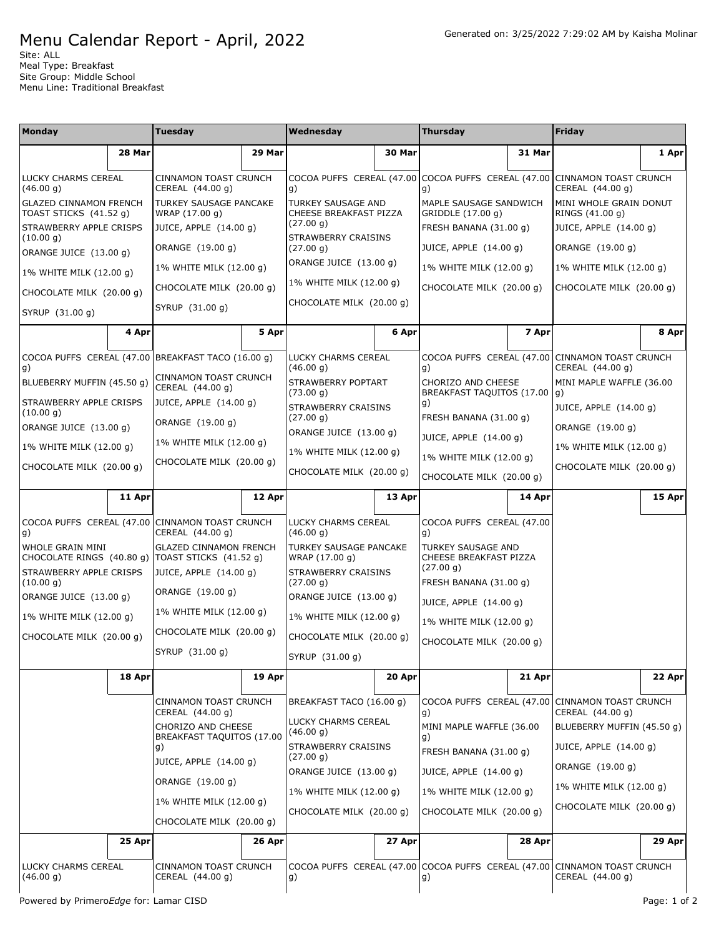## Menu Calendar Report - April, 2022

Site: ALL Meal Type: Breakfast Site Group: Middle School Menu Line: Traditional Breakfast

| <b>Monday</b>                                                          |        | Tuesday                                                                                                                                                                   |        | Wednesday                                                                                                                                             |        | Thursday                                                                        |        | <b>Friday</b>                                                       |              |                        |          |                                                                                 |        |                  |        |
|------------------------------------------------------------------------|--------|---------------------------------------------------------------------------------------------------------------------------------------------------------------------------|--------|-------------------------------------------------------------------------------------------------------------------------------------------------------|--------|---------------------------------------------------------------------------------|--------|---------------------------------------------------------------------|--------------|------------------------|----------|---------------------------------------------------------------------------------|--------|------------------|--------|
|                                                                        | 28 Mar |                                                                                                                                                                           | 29 Mar |                                                                                                                                                       | 30 Mar |                                                                                 | 31 Mar |                                                                     | 1 Apr        |                        |          |                                                                                 |        |                  |        |
| LUCKY CHARMS CEREAL<br>(46.00 g)                                       |        | CINNAMON TOAST CRUNCH<br>CEREAL (44.00 g)                                                                                                                                 |        | g)                                                                                                                                                    |        | COCOA PUFFS CEREAL (47.00 COCOA PUFFS CEREAL (47.00 CINNAMON TOAST CRUNCH<br>g) |        | CEREAL (44.00 g)                                                    |              |                        |          |                                                                                 |        |                  |        |
| <b>GLAZED CINNAMON FRENCH</b><br>TOAST STICKS (41.52 g)                |        | <b>TURKEY SAUSAGE PANCAKE</b><br>WRAP (17.00 g)                                                                                                                           |        | <b>TURKEY SAUSAGE AND</b><br>CHEESE BREAKFAST PIZZA                                                                                                   |        | MAPLE SAUSAGE SANDWICH<br>GRIDDLE (17.00 g)                                     |        | MINI WHOLE GRAIN DONUT<br>RINGS (41.00 g)                           |              |                        |          |                                                                                 |        |                  |        |
| STRAWBERRY APPLE CRISPS                                                |        | JUICE, APPLE (14.00 g)                                                                                                                                                    |        | (27.00 g)                                                                                                                                             |        | FRESH BANANA (31.00 g)                                                          |        | JUICE, APPLE (14.00 g)                                              |              |                        |          |                                                                                 |        |                  |        |
| (10.00 g)<br>ORANGE JUICE (13.00 g)                                    |        | ORANGE (19.00 g)                                                                                                                                                          |        | <b>STRAWBERRY CRAISINS</b><br>(27.00 g)                                                                                                               |        | JUICE, APPLE (14.00 g)                                                          |        | ORANGE (19.00 g)                                                    |              |                        |          |                                                                                 |        |                  |        |
| 1% WHITE MILK (12.00 g)                                                |        | 1% WHITE MILK (12.00 g)                                                                                                                                                   |        | ORANGE JUICE (13.00 g)                                                                                                                                |        | 1% WHITE MILK (12.00 g)                                                         |        | 1% WHITE MILK (12.00 g)                                             |              |                        |          |                                                                                 |        |                  |        |
| CHOCOLATE MILK (20.00 g)                                               |        | CHOCOLATE MILK (20.00 g)                                                                                                                                                  |        | 1% WHITE MILK (12.00 g)                                                                                                                               |        | CHOCOLATE MILK (20.00 g)                                                        |        | CHOCOLATE MILK (20.00 g)                                            |              |                        |          |                                                                                 |        |                  |        |
| SYRUP (31.00 g)                                                        |        | SYRUP (31.00 g)                                                                                                                                                           |        | CHOCOLATE MILK (20.00 g)                                                                                                                              |        |                                                                                 |        |                                                                     |              |                        |          |                                                                                 |        |                  |        |
|                                                                        | 4 Apr  |                                                                                                                                                                           | 5 Apr  |                                                                                                                                                       | 6 Apr  |                                                                                 | 7 Apr  |                                                                     | 8 Apr        |                        |          |                                                                                 |        |                  |        |
| g)                                                                     |        | COCOA PUFFS CEREAL (47.00 BREAKFAST TACO (16.00 g)                                                                                                                        |        | LUCKY CHARMS CEREAL<br>(46.00 g)                                                                                                                      |        | g)                                                                              |        | COCOA PUFFS CEREAL (47.00 CINNAMON TOAST CRUNCH<br>CEREAL (44.00 g) |              |                        |          |                                                                                 |        |                  |        |
| BLUEBERRY MUFFIN (45.50 g)                                             |        | <b>CINNAMON TOAST CRUNCH</b><br>CEREAL (44.00 g)                                                                                                                          |        | STRAWBERRY POPTART<br>(73.00 g)                                                                                                                       |        | CHORIZO AND CHEESE<br>BREAKFAST TAQUITOS (17.00 g)                              |        | MINI MAPLE WAFFLE (36.00                                            |              |                        |          |                                                                                 |        |                  |        |
| STRAWBERRY APPLE CRISPS<br>(10.00 g)                                   |        | JUICE, APPLE (14.00 g)                                                                                                                                                    |        | STRAWBERRY CRAISINS                                                                                                                                   |        | g)                                                                              |        | JUICE, APPLE (14.00 g)                                              |              |                        |          |                                                                                 |        |                  |        |
| ORANGE JUICE (13.00 g)                                                 |        | ORANGE (19.00 g)                                                                                                                                                          |        | (27.00 g)<br>ORANGE JUICE (13.00 g)                                                                                                                   |        | FRESH BANANA (31.00 g)                                                          |        | ORANGE (19.00 g)                                                    |              |                        |          |                                                                                 |        |                  |        |
| 1% WHITE MILK (12.00 g)                                                |        | 1% WHITE MILK (12.00 g)                                                                                                                                                   |        |                                                                                                                                                       |        | JUICE, APPLE (14.00 g)                                                          |        | 1% WHITE MILK (12.00 g)                                             |              |                        |          |                                                                                 |        |                  |        |
| CHOCOLATE MILK (20.00 g)                                               |        | CHOCOLATE MILK (20.00 g)                                                                                                                                                  |        | 1% WHITE MILK (12.00 g)<br>CHOCOLATE MILK (20.00 g)                                                                                                   |        | 1% WHITE MILK (12.00 g)<br>CHOCOLATE MILK (20.00 g)                             |        | CHOCOLATE MILK (20.00 g)                                            |              |                        |          |                                                                                 |        |                  |        |
|                                                                        | 11 Apr |                                                                                                                                                                           | 12 Apr |                                                                                                                                                       | 13 Apr |                                                                                 | 14 Apr |                                                                     |              |                        |          |                                                                                 |        |                  |        |
|                                                                        |        |                                                                                                                                                                           |        |                                                                                                                                                       |        |                                                                                 |        |                                                                     | 15 Apr       |                        |          |                                                                                 |        |                  |        |
| COCOA PUFFS CEREAL (47.00 CINNAMON TOAST CRUNCH<br>g)                  |        | CEREAL (44.00 g)                                                                                                                                                          |        | LUCKY CHARMS CEREAL<br>(46.00 g)                                                                                                                      |        | COCOA PUFFS CEREAL (47.00<br>g)                                                 |        |                                                                     |              |                        |          |                                                                                 |        |                  |        |
| WHOLE GRAIN MINI<br>CHOCOLATE RINGS (40.80 g)   TOAST STICKS (41.52 g) |        | <b>GLAZED CINNAMON FRENCH</b>                                                                                                                                             |        | TURKEY SAUSAGE PANCAKE<br>WRAP (17.00 g)                                                                                                              |        | TURKEY SAUSAGE AND<br>CHEESE BREAKFAST PIZZA                                    |        |                                                                     |              |                        |          |                                                                                 |        |                  |        |
| STRAWBERRY APPLE CRISPS<br>(10.00 g)                                   |        | JUICE, APPLE (14.00 g)                                                                                                                                                    |        | STRAWBERRY CRAISINS<br>(27.00 g)                                                                                                                      |        | (27.00 g)<br>FRESH BANANA (31.00 g)                                             |        |                                                                     |              |                        |          |                                                                                 |        |                  |        |
| ORANGE JUICE (13.00 g)                                                 |        | ORANGE (19.00 g)                                                                                                                                                          |        | ORANGE JUICE (13.00 g)                                                                                                                                |        | JUICE, APPLE (14.00 g)                                                          |        |                                                                     |              |                        |          |                                                                                 |        |                  |        |
| 1% WHITE MILK (12.00 g)                                                |        | 1% WHITE MILK (12.00 g)                                                                                                                                                   |        | 1% WHITE MILK (12.00 g)                                                                                                                               |        | 1% WHITE MILK (12.00 g)                                                         |        |                                                                     |              |                        |          |                                                                                 |        |                  |        |
| CHOCOLATE MILK (20.00 g)                                               |        | CHOCOLATE MILK (20.00 g)                                                                                                                                                  |        | CHOCOLATE MILK (20.00 g)                                                                                                                              |        | CHOCOLATE MILK (20.00 g)                                                        |        |                                                                     |              |                        |          |                                                                                 |        |                  |        |
|                                                                        |        | SYRUP (31.00 g)                                                                                                                                                           |        | SYRUP (31.00 g)                                                                                                                                       |        |                                                                                 |        |                                                                     |              |                        |          |                                                                                 |        |                  |        |
|                                                                        | 18 Apr |                                                                                                                                                                           | 19 Apr |                                                                                                                                                       | 20 Apr |                                                                                 | 21 Apr |                                                                     | 22 Apr       |                        |          |                                                                                 |        |                  |        |
|                                                                        |        | CINNAMON TOAST CRUNCH<br>CEREAL (44.00 g)                                                                                                                                 |        | BREAKFAST TACO (16.00 g)                                                                                                                              |        | g)                                                                              |        | COCOA PUFFS CEREAL (47.00 CINNAMON TOAST CRUNCH<br>CEREAL (44.00 g) |              |                        |          |                                                                                 |        |                  |        |
|                                                                        |        | CHORIZO AND CHEESE<br><b>BREAKFAST TAQUITOS (17.00</b><br>$\vert$ g)<br>JUICE, APPLE (14.00 g)<br>ORANGE (19.00 g)<br>1% WHITE MILK (12.00 g)<br>CHOCOLATE MILK (20.00 g) |        | LUCKY CHARMS CEREAL<br>(46.00 g)<br>STRAWBERRY CRAISINS<br>(27.00 g)<br>ORANGE JUICE (13.00 g)<br>1% WHITE MILK (12.00 g)<br>CHOCOLATE MILK (20.00 g) |        | MINI MAPLE WAFFLE (36.00<br>g)<br>FRESH BANANA (31.00 g)                        |        | BLUEBERRY MUFFIN (45.50 g)<br>JUICE, APPLE (14.00 g)                |              |                        |          |                                                                                 |        |                  |        |
|                                                                        |        |                                                                                                                                                                           |        |                                                                                                                                                       |        |                                                                                 |        |                                                                     |              | JUICE, APPLE (14.00 g) |          | ORANGE (19.00 g)                                                                |        |                  |        |
|                                                                        |        |                                                                                                                                                                           |        |                                                                                                                                                       |        | 1% WHITE MILK (12.00 g)<br>CHOCOLATE MILK (20.00 g)                             |        | 1% WHITE MILK (12.00 g)<br>CHOCOLATE MILK (20.00 g)                 |              |                        |          |                                                                                 |        |                  |        |
|                                                                        |        |                                                                                                                                                                           |        |                                                                                                                                                       |        |                                                                                 |        |                                                                     |              |                        |          |                                                                                 |        |                  |        |
|                                                                        |        |                                                                                                                                                                           |        |                                                                                                                                                       |        |                                                                                 |        |                                                                     | 25 Apr       |                        | $26$ Apr |                                                                                 | 27 Apr |                  | 28 Apr |
|                                                                        |        |                                                                                                                                                                           |        |                                                                                                                                                       |        | LUCKY CHARMS CEREAL<br>(46.00 g)                                                |        | <b>CINNAMON TOAST CRUNCH</b><br>CEREAL (44.00 g)                    |              | g)                     |          | COCOA PUFFS CEREAL (47.00 COCOA PUFFS CEREAL (47.00 CINNAMON TOAST CRUNCH<br>g) |        | CEREAL (44.00 g) |        |
| Powered by PrimeroEdge for: Lamar CISD                                 |        |                                                                                                                                                                           |        |                                                                                                                                                       |        |                                                                                 |        |                                                                     | Page: 1 of 2 |                        |          |                                                                                 |        |                  |        |